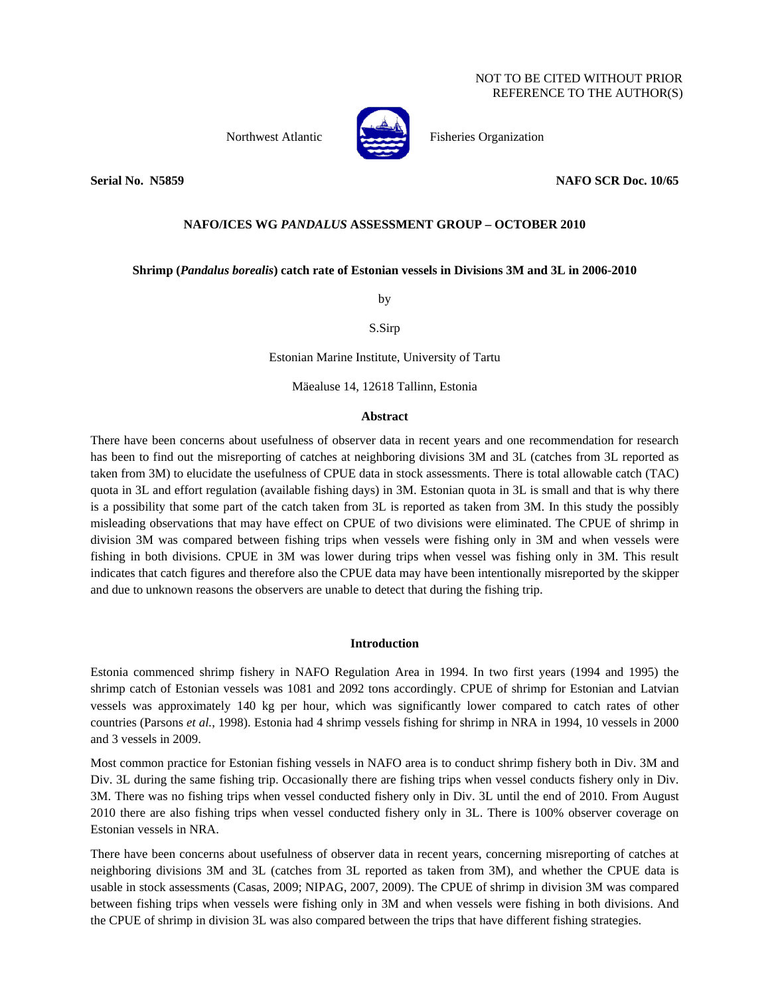

Northwest Atlantic Fisheries Organization

**Serial No. N5859 NAFO SCR Doc. 10/65** 

# **NAFO/ICES WG** *PANDALUS* **ASSESSMENT GROUP – OCTOBER 2010**

# **Shrimp (***Pandalus borealis***) catch rate of Estonian vessels in Divisions 3M and 3L in 2006-2010**

by

S.Sirp

Estonian Marine Institute, University of Tartu

Mäealuse 14, 12618 Tallinn, Estonia

### **Abstract**

There have been concerns about usefulness of observer data in recent years and one recommendation for research has been to find out the misreporting of catches at neighboring divisions 3M and 3L (catches from 3L reported as taken from 3M) to elucidate the usefulness of CPUE data in stock assessments. There is total allowable catch (TAC) quota in 3L and effort regulation (available fishing days) in 3M. Estonian quota in 3L is small and that is why there is a possibility that some part of the catch taken from 3L is reported as taken from 3M. In this study the possibly misleading observations that may have effect on CPUE of two divisions were eliminated. The CPUE of shrimp in division 3M was compared between fishing trips when vessels were fishing only in 3M and when vessels were fishing in both divisions. CPUE in 3M was lower during trips when vessel was fishing only in 3M. This result indicates that catch figures and therefore also the CPUE data may have been intentionally misreported by the skipper and due to unknown reasons the observers are unable to detect that during the fishing trip.

## **Introduction**

Estonia commenced shrimp fishery in NAFO Regulation Area in 1994. In two first years (1994 and 1995) the shrimp catch of Estonian vessels was 1081 and 2092 tons accordingly. CPUE of shrimp for Estonian and Latvian vessels was approximately 140 kg per hour, which was significantly lower compared to catch rates of other countries (Parsons *et al.*, 1998). Estonia had 4 shrimp vessels fishing for shrimp in NRA in 1994, 10 vessels in 2000 and 3 vessels in 2009.

Most common practice for Estonian fishing vessels in NAFO area is to conduct shrimp fishery both in Div. 3M and Div. 3L during the same fishing trip. Occasionally there are fishing trips when vessel conducts fishery only in Div. 3M. There was no fishing trips when vessel conducted fishery only in Div. 3L until the end of 2010. From August 2010 there are also fishing trips when vessel conducted fishery only in 3L. There is 100% observer coverage on Estonian vessels in NRA.

There have been concerns about usefulness of observer data in recent years, concerning misreporting of catches at neighboring divisions 3M and 3L (catches from 3L reported as taken from 3M), and whether the CPUE data is usable in stock assessments (Casas, 2009; NIPAG, 2007, 2009). The CPUE of shrimp in division 3M was compared between fishing trips when vessels were fishing only in 3M and when vessels were fishing in both divisions. And the CPUE of shrimp in division 3L was also compared between the trips that have different fishing strategies.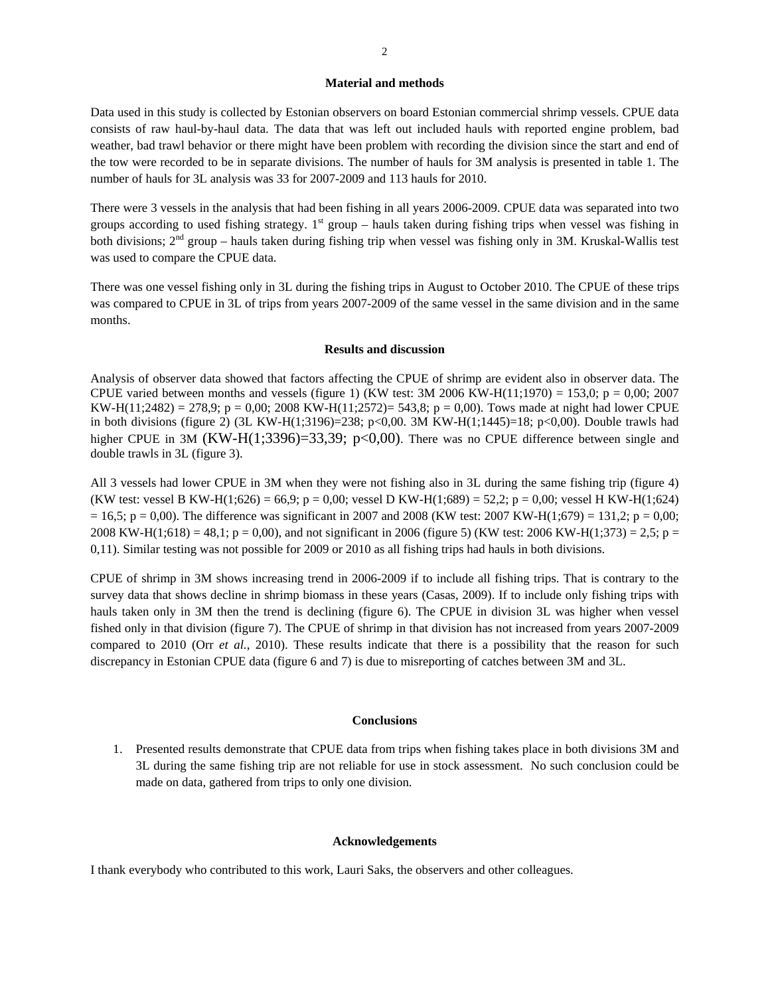#### **Material and methods**

Data used in this study is collected by Estonian observers on board Estonian commercial shrimp vessels. CPUE data consists of raw haul-by-haul data. The data that was left out included hauls with reported engine problem, bad weather, bad trawl behavior or there might have been problem with recording the division since the start and end of the tow were recorded to be in separate divisions. The number of hauls for 3M analysis is presented in table 1. The number of hauls for 3L analysis was 33 for 2007-2009 and 113 hauls for 2010.

There were 3 vessels in the analysis that had been fishing in all years 2006-2009. CPUE data was separated into two groups according to used fishing strategy.  $1<sup>st</sup>$  group – hauls taken during fishing trips when vessel was fishing in both divisions;  $2<sup>nd</sup>$  group – hauls taken during fishing trip when vessel was fishing only in 3M. Kruskal-Wallis test was used to compare the CPUE data.

There was one vessel fishing only in 3L during the fishing trips in August to October 2010. The CPUE of these trips was compared to CPUE in 3L of trips from years 2007-2009 of the same vessel in the same division and in the same months.

#### **Results and discussion**

Analysis of observer data showed that factors affecting the CPUE of shrimp are evident also in observer data. The CPUE varied between months and vessels (figure 1) (KW test:  $3M\ 2006\ KW-H(11;1970) = 153,0; p = 0,00; 2007$ KW-H(11;2482) = 278,9; p = 0,00; 2008 KW-H(11;2572)= 543,8; p = 0,00). Tows made at night had lower CPUE in both divisions (figure 2) (3L KW-H(1;3196)=238; p<0,00. 3M KW-H(1;1445)=18; p<0,00). Double trawls had higher CPUE in 3M (KW-H(1;3396)=33,39; p<0,00). There was no CPUE difference between single and double trawls in 3L (figure 3).

All 3 vessels had lower CPUE in 3M when they were not fishing also in 3L during the same fishing trip (figure 4) (KW test: vessel B KW-H(1;626) = 66,9; p = 0,00; vessel D KW-H(1;689) = 52,2; p = 0,00; vessel H KW-H(1;624)  $= 16,5$ ; p = 0,00). The difference was significant in 2007 and 2008 (KW test: 2007 KW-H(1;679) = 131,2; p = 0,00; 2008 KW-H(1;618) = 48,1; p = 0,00), and not significant in 2006 (figure 5) (KW test: 2006 KW-H(1;373) = 2,5; p = 0,11). Similar testing was not possible for 2009 or 2010 as all fishing trips had hauls in both divisions.

CPUE of shrimp in 3M shows increasing trend in 2006-2009 if to include all fishing trips. That is contrary to the survey data that shows decline in shrimp biomass in these years (Casas, 2009). If to include only fishing trips with hauls taken only in 3M then the trend is declining (figure 6). The CPUE in division 3L was higher when vessel fished only in that division (figure 7). The CPUE of shrimp in that division has not increased from years 2007-2009 compared to 2010 (Orr *et al.*, 2010). These results indicate that there is a possibility that the reason for such discrepancy in Estonian CPUE data (figure 6 and 7) is due to misreporting of catches between 3M and 3L.

#### **Conclusions**

1. Presented results demonstrate that CPUE data from trips when fishing takes place in both divisions 3M and 3L during the same fishing trip are not reliable for use in stock assessment. No such conclusion could be made on data, gathered from trips to only one division.

#### **Acknowledgements**

I thank everybody who contributed to this work, Lauri Saks, the observers and other colleagues.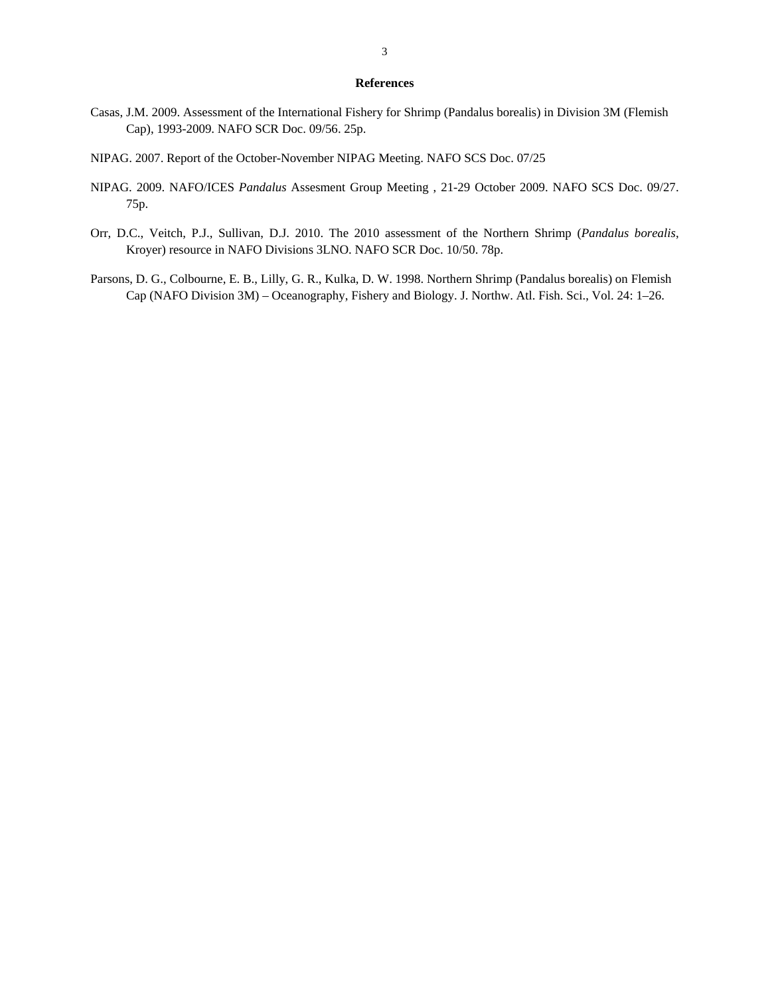### **References**

- Casas, J.M. 2009. Assessment of the International Fishery for Shrimp (Pandalus borealis) in Division 3M (Flemish Cap), 1993-2009. NAFO SCR Doc. 09/56. 25p.
- NIPAG. 2007. Report of the October-November NIPAG Meeting. NAFO SCS Doc. 07/25
- NIPAG. 2009. NAFO/ICES *Pandalus* Assesment Group Meeting , 21-29 October 2009. NAFO SCS Doc. 09/27. 75p.
- Orr, D.C., Veitch, P.J., Sullivan, D.J. 2010. The 2010 assessment of the Northern Shrimp (*Pandalus borealis*, Kroyer) resource in NAFO Divisions 3LNO. NAFO SCR Doc. 10/50. 78p.
- Parsons, D. G., Colbourne, E. B., Lilly, G. R., Kulka, D. W. 1998. Northern Shrimp (Pandalus borealis) on Flemish Cap (NAFO Division 3M) – Oceanography, Fishery and Biology. J. Northw. Atl. Fish. Sci., Vol. 24: 1–26.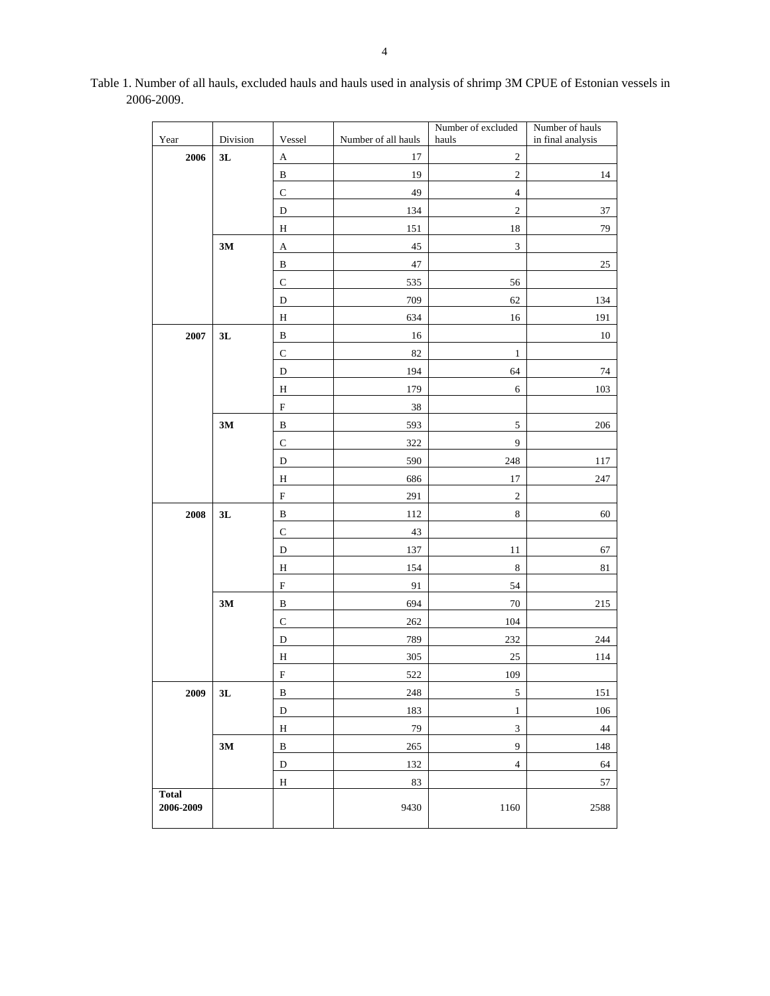| Year         | Division | Vessel                    | Number of all hauls | Number of excluded<br>hauls | Number of hauls<br>in final analysis |
|--------------|----------|---------------------------|---------------------|-----------------------------|--------------------------------------|
| 2006         | 3L       | $\mathbf{A}$              | 17                  | $\overline{c}$              |                                      |
|              |          | $\, {\bf B}$              | 19                  | $\overline{2}$              | 14                                   |
|              |          | ${\bf C}$                 | 49                  | $\sqrt{4}$                  |                                      |
|              |          | D                         | 134                 | $\sqrt{2}$                  | 37                                   |
|              |          | H                         | 151                 | $18\,$                      | 79                                   |
|              | $3M$     | A                         | $45\,$              | $\sqrt{3}$                  |                                      |
|              |          | $\, {\bf B}$              | 47                  |                             | $25\,$                               |
|              |          | $\mathbf C$               | 535                 | 56                          |                                      |
|              |          | D                         | 709                 | 62                          | 134                                  |
|              |          | $\mathbf H$               | 634                 | 16                          | 191                                  |
| 2007         | 3L       | $\, {\bf B}$              | 16                  |                             | 10                                   |
|              |          | $\mathbf C$               | 82                  | $\,1\,$                     |                                      |
|              |          | D                         | 194                 | 64                          | 74                                   |
|              |          | $\, {\rm H}$              | 179                 | $\sqrt{6}$                  | 103                                  |
|              |          | ${\bf F}$                 | $38\,$              |                             |                                      |
|              | $3M$     | $\, {\bf B}$              | 593                 | $\sqrt{5}$                  | 206                                  |
|              |          | ${\bf C}$                 | 322                 | $\overline{9}$              |                                      |
|              |          | $\mathbf D$               | 590                 | 248                         | 117                                  |
|              |          | Η                         | 686                 | $17\,$                      | 247                                  |
|              |          | $\mathbf F$               | 291                 | $\sqrt{2}$                  |                                      |
| 2008         | 3L       | $\, {\bf B}$              | 112                 | $\,8\,$                     | 60                                   |
|              |          | ${\bf C}$                 | 43                  |                             |                                      |
|              |          | D                         | 137                 | $11\,$                      | 67                                   |
|              |          | H                         | 154                 | $\,8\,$                     | 81                                   |
|              |          | $\boldsymbol{\mathrm{F}}$ | 91                  | 54                          |                                      |
|              | 3M       | $\, {\bf B}$              | 694                 | $70\,$                      | 215                                  |
|              |          | $\mathbf C$               | 262                 | 104                         |                                      |
|              |          | D                         | 789                 | 232                         | 244                                  |
|              |          | $\mathbf H$               | 305                 | 25                          | 114                                  |
|              |          | $\mathbf F$               | 522                 | 109                         |                                      |
| 2009         | 3L       | $\, {\bf B}$              | 248                 | 5                           | 151                                  |
|              |          | $\mathbf D$               | 183                 | $\,1\,$                     | 106                                  |
|              |          | $\rm H$                   | 79                  | $\ensuremath{\mathfrak{Z}}$ | 44                                   |
|              | $3M$     | $\, {\bf B}$              | $265\,$             | 9                           | 148                                  |
|              |          | $\mathbf D$               | 132                 | $\sqrt{4}$                  | 64                                   |
| <b>Total</b> |          | $\rm H$                   | 83                  |                             | 57                                   |
| 2006-2009    |          |                           | 9430                | 1160                        | 2588                                 |

Table 1. Number of all hauls, excluded hauls and hauls used in analysis of shrimp 3M CPUE of Estonian vessels in 2006-2009.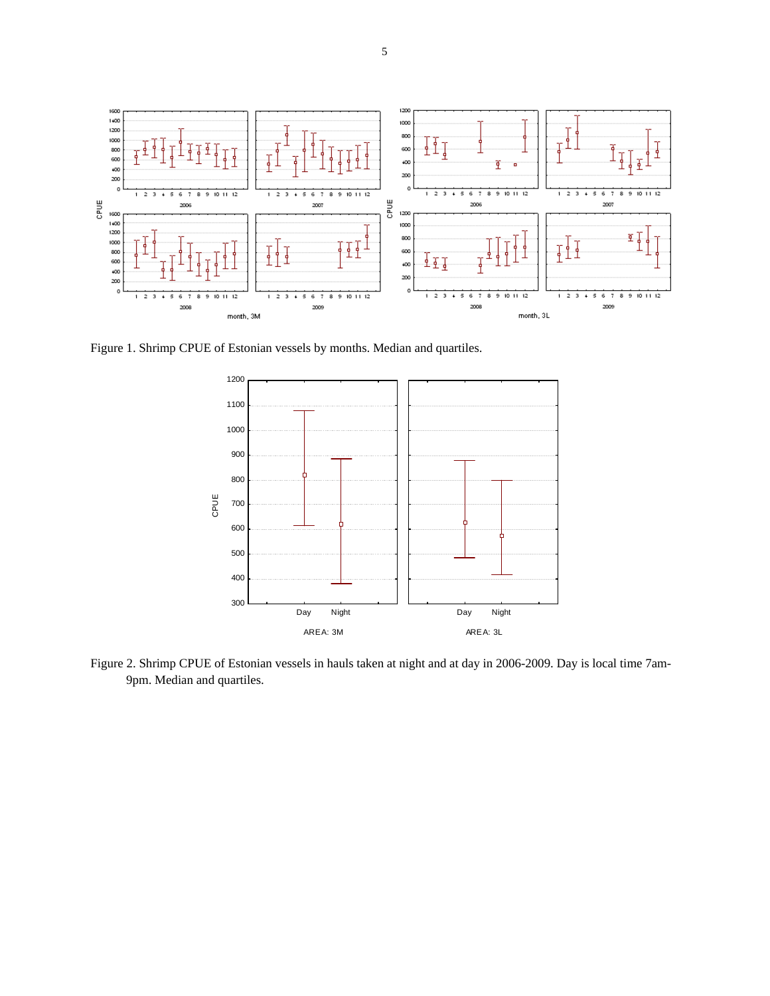

Figure 1. Shrimp CPUE of Estonian vessels by months. Median and quartiles.



Figure 2. Shrimp CPUE of Estonian vessels in hauls taken at night and at day in 2006-2009. Day is local time 7am-9pm. Median and quartiles.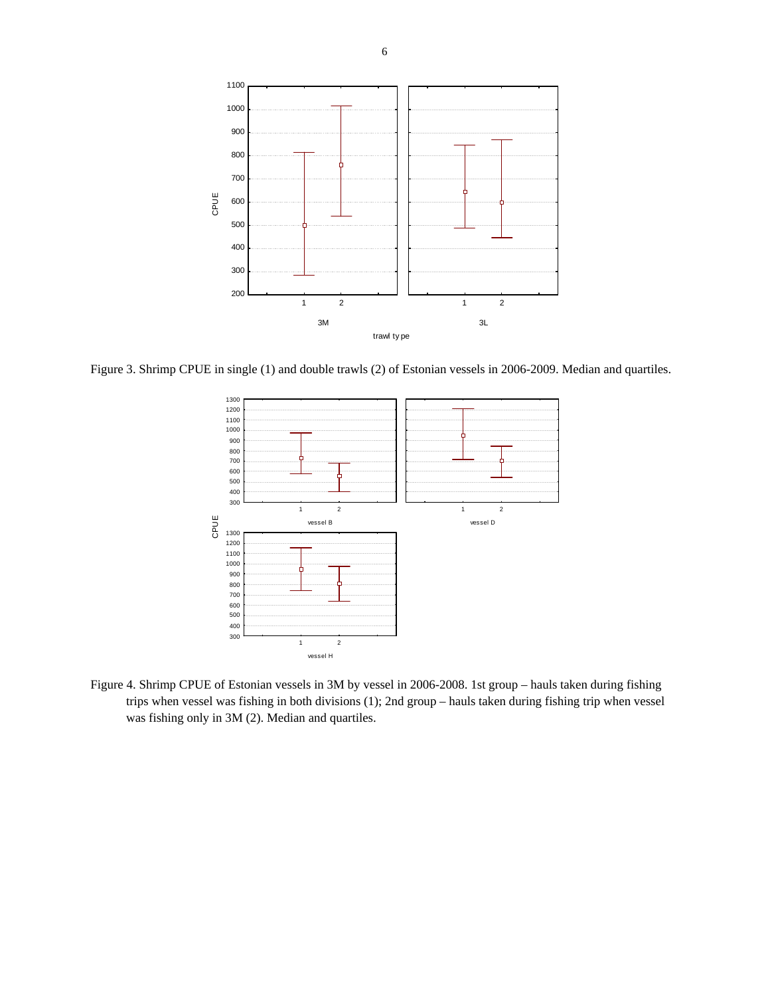

Figure 3. Shrimp CPUE in single (1) and double trawls (2) of Estonian vessels in 2006-2009. Median and quartiles.



Figure 4. Shrimp CPUE of Estonian vessels in 3M by vessel in 2006-2008. 1st group – hauls taken during fishing trips when vessel was fishing in both divisions (1); 2nd group – hauls taken during fishing trip when vessel was fishing only in 3M (2). Median and quartiles.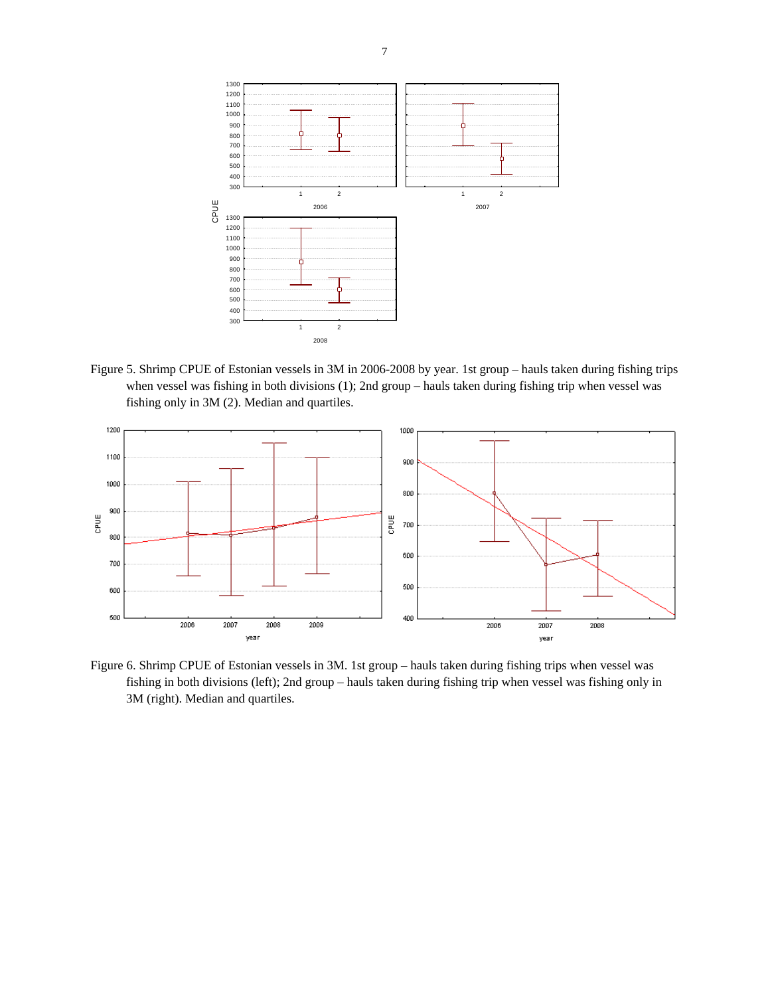

Figure 5. Shrimp CPUE of Estonian vessels in 3M in 2006-2008 by year. 1st group – hauls taken during fishing trips when vessel was fishing in both divisions (1); 2nd group – hauls taken during fishing trip when vessel was fishing only in 3M (2). Median and quartiles.



Figure 6. Shrimp CPUE of Estonian vessels in 3M. 1st group – hauls taken during fishing trips when vessel was fishing in both divisions (left); 2nd group – hauls taken during fishing trip when vessel was fishing only in 3M (right). Median and quartiles.